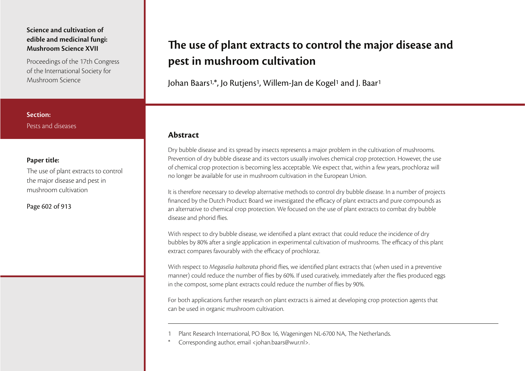Proceedings of the 17th Congress of the International Society for Mushroom Science

## **Section:**Pests and diseases

### **Paper title:**

The use of plant extracts to control the major disease and pest in mushroom cultivation

Page 602 of 913

# The use of plant extracts to control the major disease and **pest in mushroom cultivation**

Johan Baars1,\*, Jo Rutjens<sup>1</sup>, Willem-Jan de Kogel1 and J. Baar<sup>1</sup>

## **Abstract**

Dry bubble disease and its spread by insects represents a major problem in the cultivation of mushrooms. Prevention of dry bubble disease and its vectors usually involves chemical crop protection. However, the use of chemical crop protection is becoming less acceptable. We expect that, within a few years, prochloraz will no longer be available for use in mushroom cultivation in the European Union.

It is therefore necessary to develop alternative methods to control dry bubble disease. In a number of projects financed by the Dutch Product Board we investigated the efficacy of plant extracts and pure compounds as an alternative to chemical crop protection. We focused on the use of plant extracts to combat dry bubble disease and phorid flies.

With respect to dry bubble disease, we identified a plant extract that could reduce the incidence of dry bubbles by 80% after a single application in experimental cultivation of mushrooms. The efficacy of this plant extract compares favourably with the efficacy of prochloraz.

With respect to Megaselia halterata phorid flies, we identified plant extracts that (when used in a preventive manner) could reduce the number of flies by 60%. If used curatively, immediately after the flies produced eggs in the compost, some plant extracts could reduce the number of flies by 90%.

For both applications further research on plant extracts is aimed at developing crop protection agents that can be used in organic mushroom cultivation.

- Plant Research International, PO Box 16, Wageningen NL-6700 NA, The Netherlands.
- Corresponding author, email <johan.baars@wur.nl>.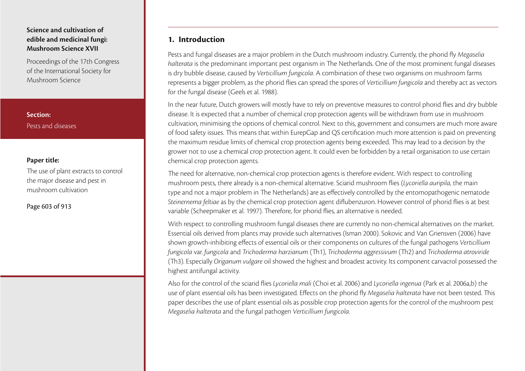Proceedings of the 17th Congress of the International Society for Mushroom Science

**Section:**Pests and diseases

### **Paper title:**

The use of plant extracts to control the major disease and pest in mushroom cultivation

Page 603 of 913

## **1. Introduction**

Pests and fungal diseases are a major problem in the Dutch mushroom industry. Currently, the phorid fly Megaselia halterata is the predominant important pest organism in The Netherlands. One of the most prominent fungal diseases is dry bubble disease, caused by Verticillium fungicola. A combination of these two organisms on mushroom farms represents a bigger problem, as the phorid flies can spread the spores of Verticillium fungicola and thereby act as vectors for the fungal disease (Geels et al. 1988).

In the near future, Dutch growers will mostly have to rely on preventive measures to control phorid flies and dry bubble disease. It is expected that a number of chemical crop protection agents will be withdrawn from use in mushroom cultivation, minimising the options of chemical control. Next to this, government and consumers are much more aware of food safety issues. This means that within EurepGap and QS certification much more attention is paid on preventing the maximum residue limits of chemical crop protection agents being exceeded. This may lead to a decision by the grower not to use a chemical crop protection agent. It could even be forbidden by a retail organisation to use certain chemical crop protection agents.

The need for alternative, non-chemical crop protection agents is therefore evident. With respect to controlling mushroom pests, there already is a non-chemical alternative. Sciarid mushroom flies (Lycoriella auripila, the main type and not a major problem in The Netherlands) are as effectively controlled by the entomopathogenic nematode Steinernema feltiae as by the chemical crop protection agent diflubenzuron. However control of phorid flies is at best variable (Scheepmaker et al. 1997). Therefore, for phorid flies, an alternative is needed.

With respect to controlling mushroom fungal diseases there are currently no non-chemical alternatives on the market. Essential oils derived from plants may provide such alternatives (Isman 2000). Sokovic and Van Griensven (2006) have shown growth-inhibiting effects of essential oils or their components on cultures of the fungal pathogens Verticillium fungicola var. fungicola and Trichoderma harzianum (Th1), Trichoderma aggressivum (Th2) and Trichoderma atroviride (Th3). Especially Origanum vulgare oil showed the highest and broadest activity. Its component carvacrol possessed the highest antifungal activity.

Also for the control of the sciarid flies Lycoriella mali (Choi et al. 2006) and Lycoriella ingenua (Park et al. 2006a,b) the use of plant essential oils has been investigated. Effects on the phorid fly Megaselia halterata have not been tested. This paper describes the use of plant essential oils as possible crop protection agents for the control of the mushroom pest Megaselia halterata and the fungal pathogen Verticillium fungicola.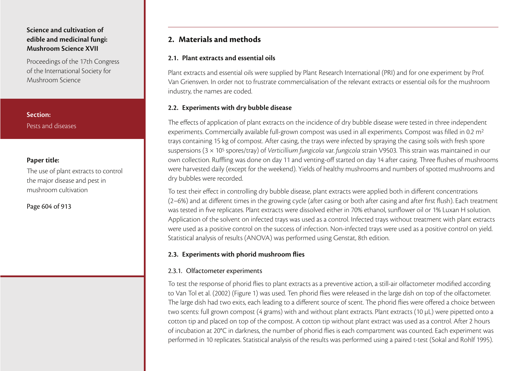Proceedings of the 17th Congress of the International Society for Mushroom Science

**Section:**Pests and diseases

## **Paper title:**

The use of plant extracts to control the major disease and pest in mushroom cultivation

Page 604 of 913

# **2. Materials and methods**

## **2.1. Plant extracts and essential oils**

Plant extracts and essential oils were supplied by Plant Research International (PRI) and for one experiment by Prof. Van Griensven. In order not to frustrate commercialisation of the relevant extracts or essential oils for the mushroom industry, the names are coded.

## **2.2. Experiments with dry bubble disease**

The effects of application of plant extracts on the incidence of dry bubble disease were tested in three independent experiments. Commercially available full-grown compost was used in all experiments. Compost was filled in 0.2 m<sup>2</sup> trays containing 15 kg of compost. After casing, the trays were infected by spraying the casing soils with fresh spore suspensions ( $3 \times 10^5$  spores/tray) of Verticillium fungicola var. fungicola strain V9503. This strain was maintained in our own collection. Ruffling was done on day 11 and venting-off started on day 14 after casing. Three flushes of mushrooms were harvested daily (except for the weekend). Yields of healthy mushrooms and numbers of spotted mushrooms and dry bubbles were recorded.

To test their effect in controlling dry bubble disease, plant extracts were applied both in different concentrations (2–6%) and at different times in the growing cycle (after casing or both after casing and after first flush). Each treatment was tested in five replicates. Plant extracts were dissolved either in 70% ethanol, sunflower oil or 1% Luxan H solution. Application of the solvent on infected trays was used as a control. Infected trays without treatment with plant extracts were used as a positive control on the success of infection. Non-infected trays were used as a positive control on yield. Statistical analysis of results (ANOVA) was performed using Genstat, 8th edition.

## **2.3. Experiments with phorid mushroom flies**

### 2.3.1. Olfactometer experiments

To test the response of phorid flies to plant extracts as a preventive action, a still-air olfactometer modified according to Van Tol et al. (2002) (Figure 1) was used. Ten phorid flies were released in the large dish on top of the olfactometer. The large dish had two exits, each leading to a different source of scent. The phorid flies were offered a choice between two scents: full grown compost (4 grams) with and without plant extracts. Plant extracts (10 µL) were pipetted onto a cotton tip and placed on top of the compost. A cotton tip without plant extract was used as a control. After 2 hours of incubation at 20°C in darkness, the number of phorid flies is each compartment was counted. Each experiment was performed in 10 replicates. Statistical analysis of the results was performed using a paired t-test (Sokal and Rohlf 1995).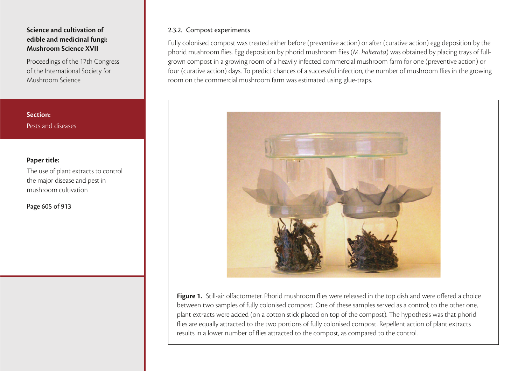Proceedings of the 17th Congress of the International Society for Mushroom Science

**Section:**Pests and diseases

#### **Paper title:**

The use of plant extracts to control the major disease and pest in mushroom cultivation

Page 605 of 913

#### 2.3.2. Compost experiments

Fully colonised compost was treated either before (preventive action) or after (curative action) egg deposition by the phorid mushroom flies. Egg deposition by phorid mushroom flies (M. halterata) was obtained by placing trays of fullgrown compost in a growing room of a heavily infected commercial mushroom farm for one (preventive action) or four (curative action) days. To predict chances of a successful infection, the number of mushroom flies in the growing room on the commercial mushroom farm was estimated using glue-traps.



**Figure 1.** Still-air olfactometer. Phorid mushroom flies were released in the top dish and were offered a choice between two samples of fully colonised compost. One of these samples served as a control; to the other one, plant extracts were added (on a cotton stick placed on top of the compost). The hypothesis was that phorid flies are equally attracted to the two portions of fully colonised compost. Repellent action of plant extracts results in a lower number of flies attracted to the compost, as compared to the control.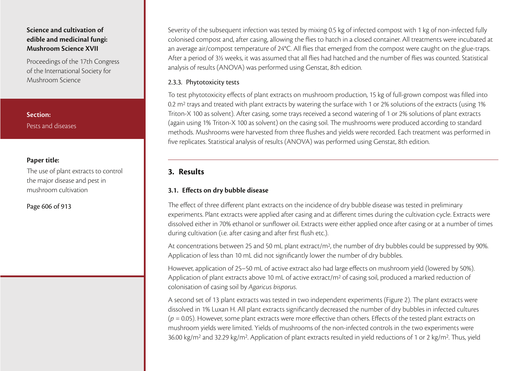Proceedings of the 17th Congress of the International Society for Mushroom Science

**Section:**Pests and diseases

#### **Paper title:**

The use of plant extracts to control the major disease and pest in mushroom cultivation

Page 606 of 913

Severity of the subsequent infection was tested by mixing 0.5 kg of infected compost with 1 kg of non-infected fully colonised compost and, after casing, allowing the flies to hatch in a closed container. All treatments were incubated at an average air/compost temperature of 24°C. All flies that emerged from the compost were caught on the glue-traps. After a period of 3½ weeks, it was assumed that all flies had hatched and the number of flies was counted. Statistical analysis of results (ANOVA) was performed using Genstat, 8th edition.

#### 2.3.3. Phytotoxicity tests

To test phytotoxicity effects of plant extracts on mushroom production, 15 kg of full-grown compost was filled into 0.2 m<sup>2</sup> trays and treated with plant extracts by watering the surface with 1 or 2% solutions of the extracts (using 1% Triton-X 100 as solvent). After casing, some trays received a second watering of 1 or 2% solutions of plant extracts (again using 1% Triton-X 100 as solvent) on the casing soil. The mushrooms were produced according to standard methods. Mushrooms were harvested from three flushes and yields were recorded. Each treatment was performed in five replicates. Statistical analysis of results (ANOVA) was performed using Genstat, 8th edition.

# **3. Results**

### **3.1. Effects on dry bubble disease**

The effect of three different plant extracts on the incidence of dry bubble disease was tested in preliminary experiments. Plant extracts were applied after casing and at different times during the cultivation cycle. Extracts were dissolved either in 70% ethanol or sunflower oil. Extracts were either applied once after casing or at a number of times during cultivation (i.e. after casing and after first flush etc.).

At concentrations between 25 and 50 mL plant extract/m<sup>2</sup>, the number of dry bubbles could be suppressed by 90%. Application of less than 10 mL did not significantly lower the number of dry bubbles.

However, application of 25–50 mL of active extract also had large effects on mushroom yield (lowered by 50%). Application of plant extracts above 10 mL of active extract/m<sup>2</sup> of casing soil, produced a marked reduction of colonisation of casing soil by Agaricus bisporus.

A second set of 13 plant extracts was tested in two independent experiments (Figure 2). The plant extracts were dissolved in 1% Luxan H. All plant extracts significantly decreased the number of dry bubbles in infected cultures  $(p = 0.05)$ . However, some plant extracts were more effective than others. Effects of the tested plant extracts on mushroom yields were limited. Yields of mushrooms of the non-infected controls in the two experiments were 36.00 kg/m<sup>2</sup> and 32.29 kg/m<sup>2</sup>. Application of plant extracts resulted in yield reductions of 1 or 2 kg/m<sup>2</sup>. Thus, yield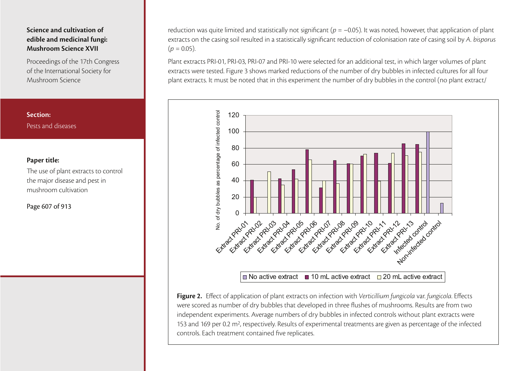Proceedings of the 17th Congress of the International Society for Mushroom Science

## **Section:**Pests and diseases

## **Paper title:**

The use of plant extracts to control the major disease and pest in mushroom cultivation

Page 607 of 913

reduction was quite limited and statistically not significant ( $p = -0.05$ ). It was noted, however, that application of plant extracts on the casing soil resulted in a statistically significant reduction of colonisation rate of casing soil by A. bisporus $(p = 0.05)$ .

Plant extracts PRI-01, PRI-03, PRI-07 and PRI-10 were selected for an additional test, in which larger volumes of plant extracts were tested. Figure 3 shows marked reductions of the number of dry bubbles in infected cultures for all four plant extracts. It must be noted that in this experiment the number of dry bubbles in the control (no plant extract/



**Figure 2.** Effect of application of plant extracts on infection with Verticillium fungicola var. fungicola. Effects were scored as number of dry bubbles that developed in three flushes of mushrooms. Results are from two independent experiments. Average numbers of dry bubbles in infected controls without plant extracts were 153 and 169 per 0.2 m<sup>2</sup>, respectively. Results of experimental treatments are given as percentage of the infected controls. Each treatment contained five replicates.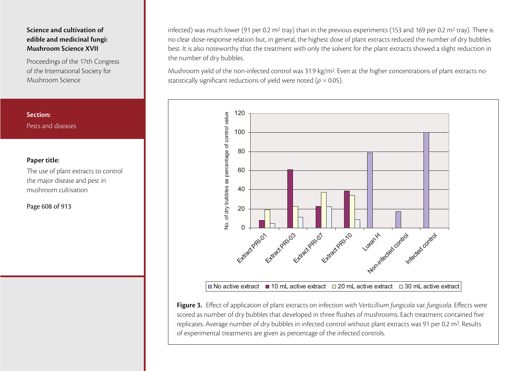Proceedings of the 17th Congress of the International Society for Mushroom Science

## **Section:**Pests and diseases

### **Paper title:**

The use of plant extracts to control the major disease and pest in mushroom cultivation

Page 608 of 913

infected) was much lower (91 per 0.2 m<sup>2</sup> tray) than in the previous experiments (153 and 169 per 0.2 m<sup>2</sup> tray). There is no clear dose-response relation but, in general, the highest dose of plant extracts reduced the number of dry bubbles best. It is also noteworthy that the treatment with only the solvent for the plant extracts showed a slight reduction in the number of dry bubbles.

Mushroom yield of the non-infected control was 31.9 kg/m2. Even at the higher concentrations of plant extracts no statistically significant reductions of yield were noted ( $p = 0.05$ ).



Figure 3. Effect of application of plant extracts on infection with Verticillium fungicola var. fungicola. Effects were scored as number of dry bubbles that developed in three flushes of mushrooms. Each treatment contained five replicates. Average number of dry bubbles in infected control without plant extracts was 91 per 0.2 m2. Results of experimental treatments are given as percentage of the infected controls.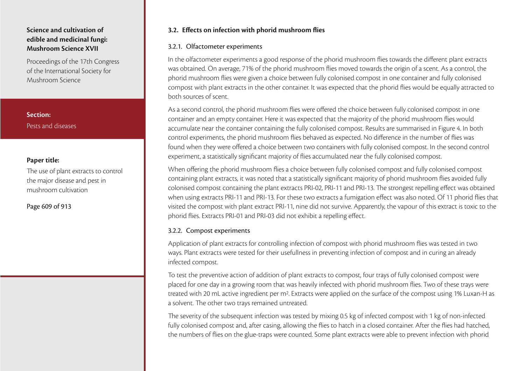Proceedings of the 17th Congress of the International Society for Mushroom Science

**Section:**Pests and diseases

## **Paper title:**

The use of plant extracts to control the major disease and pest in mushroom cultivation

Page 609 of 913

## **3.2. Effects on infection with phorid mushroom flies**

## 3.2.1. Olfactometer experiments

In the olfactometer experiments a good response of the phorid mushroom flies towards the different plant extracts was obtained. On average, 71% of the phorid mushroom flies moved towards the origin of a scent. As a control, the phorid mushroom flies were given a choice between fully colonised compost in one container and fully colonised compost with plant extracts in the other container. It was expected that the phorid flies would be equally attracted to both sources of scent.

As a second control, the phorid mushroom flies were offered the choice between fully colonised compost in one container and an empty container. Here it was expected that the majority of the phorid mushroom flies would accumulate near the container containing the fully colonised compost. Results are summarised in Figure 4. In both control experiments, the phorid mushroom flies behaved as expected. No difference in the number of flies was found when they were offered a choice between two containers with fully colonised compost. In the second control experiment, a statistically significant majority of flies accumulated near the fully colonised compost.

When offering the phorid mushroom flies a choice between fully colonised compost and fully colonised compost containing plant extracts, it was noted that a statistically significant majority of phorid mushroom flies avoided fully colonised compost containing the plant extracts PRI-02, PRI-11 and PRI-13. The strongest repelling effect was obtained when using extracts PRI-11 and PRI-13. For these two extracts a fumigation effect was also noted. Of 11 phorid flies that visited the compost with plant extract PRI-11, nine did not survive. Apparently, the vapour of this extract is toxic to the phorid flies. Extracts PRI-01 and PRI-03 did not exhibit a repelling effect.

## 3.2.2. Compost experiments

Application of plant extracts for controlling infection of compost with phorid mushroom flies was tested in two ways. Plant extracts were tested for their usefullness in preventing infection of compost and in curing an already infected compost.

To test the preventive action of addition of plant extracts to compost, four trays of fully colonised compost were placed for one day in a growing room that was heavily infected with phorid mushroom flies. Two of these trays were treated with 20 mL active ingredient per m2. Extracts were applied on the surface of the compost using 1% Luxan-H as a solvent. The other two trays remained untreated.

The severity of the subsequent infection was tested by mixing 0.5 kg of infected compost with 1 kg of non-infected fully colonised compost and, after casing, allowing the flies to hatch in a closed container. After the flies had hatched, the numbers of flies on the glue-traps were counted. Some plant extracts were able to prevent infection with phorid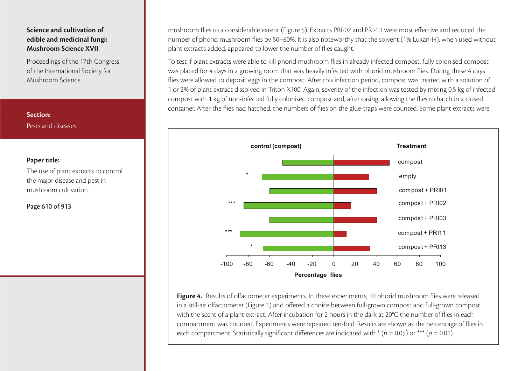Proceedings of the 17th Congress of the International Society for Mushroom Science

**Section:**Pests and diseases

#### **Paper title:**

The use of plant extracts to control the major disease and pest in mushroom cultivation

Page 610 of 913

mushroom flies to a considerable extent (Figure 5). Extracts PRI-02 and PRI-11 were most effective and reduced the number of phorid mushroom flies by 50–60%. It is also noteworthy that the solvent (1% Luxan-H), when used without plant extracts added, appeared to lower the number of flies caught.

To test if plant extracts were able to kill phorid mushroom flies in already infected compost, fully colonised compost was placed for 4 days in a growing room that was heavily infected with phorid mushroom flies. During these 4 days flies were allowed to deposit eggs in the compost. After this infection period, compost was treated with a solution of 1 or 2% of plant extract dissolved in Triton X100. Again, severity of the infection was tested by mixing 0.5 kg of infected compost with 1 kg of non-infected fully colonised compost and, after casing, allowing the flies to hatch in a closed container. After the flies had hatched, the numbers of flies on the glue-traps were counted. Some plant extracts were



**Figure 4.** Results of olfactometer experiments. In these experiments, 10 phorid mushroom flies were released in a still-air olfactometer (Figure 1) and offered a choice between full-grown compost and full-grown compost with the scent of a plant extract. After incubation for 2 hours in the dark at 20°C the number of flies in each compartment was counted. Experiments were repeated ten-fold. Results are shown as the percentage of flies in each compartment. Statistically significant differences are indicated with  $*(p = 0.05)$  or  $*** (p = 0.01)$ .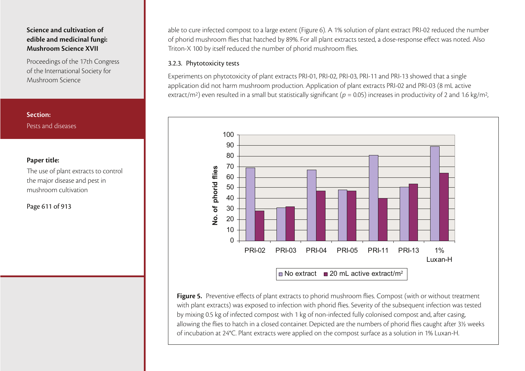Proceedings of the 17th Congress of the International Society for Mushroom Science

**Section:**Pests and diseases

#### **Paper title:**

The use of plant extracts to control the major disease and pest in mushroom cultivation

Page 611 of 913

able to cure infected compost to a large extent (Figure 6). A 1% solution of plant extract PRI-02 reduced the number of phorid mushroom flies that hatched by 89%. For all plant extracts tested, a dose-response effect was noted. Also Triton-X 100 by itself reduced the number of phorid mushroom flies.

## 3.2.3. Phytotoxicity tests

Experiments on phytotoxicity of plant extracts PRI-01, PRI-02, PRI-03, PRI-11 and PRI-13 showed that a single application did not harm mushroom production. Application of plant extracts PRI-02 and PRI-03 (8 mL active extract/m<sup>2</sup>) even resulted in a small but statistically significant ( $p = 0.05$ ) increases in productivity of 2 and 1.6 kg/m<sup>2</sup>,



**Figure 5.** Preventive effects of plant extracts to phorid mushroom flies. Compost (with or without treatment with plant extracts) was exposed to infection with phorid flies. Severity of the subsequent infection was tested by mixing 0.5 kg of infected compost with 1 kg of non-infected fully colonised compost and, after casing, allowing the flies to hatch in a closed container. Depicted are the numbers of phorid flies caught after 3½ weeks of incubation at 24°C. Plant extracts were applied on the compost surface as a solution in 1% Luxan-H.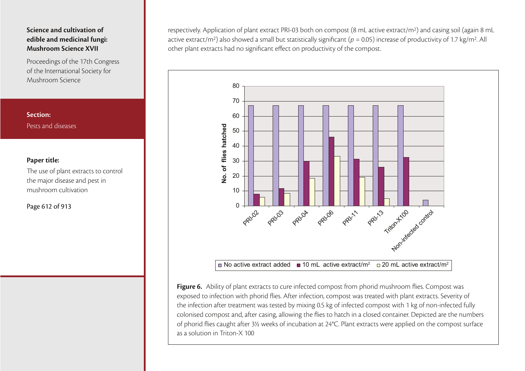Proceedings of the 17th Congress of the International Society for Mushroom Science

# **Paper title:**

**Section:**

Pests and diseases

The use of plant extracts to control the major disease and pest in mushroom cultivation

Page 612 of 913

respectively. Application of plant extract PRI-03 both on compost (8 mL active extract/m2) and casing soil (again 8 mL active extract/m<sup>2</sup>) also showed a small but statistically significant ( $p = 0.05$ ) increase of productivity of 1.7 kg/m<sup>2</sup>. All other plant extracts had no significant effect on productivity of the compost.



**Figure 6.** Ability of plant extracts to cure infected compost from phorid mushroom flies. Compost was exposed to infection with phorid flies. After infection, compost was treated with plant extracts. Severity of the infection after treatment was tested by mixing 0.5 kg of infected compost with 1 kg of non-infected fully colonised compost and, after casing, allowing the flies to hatch in a closed container. Depicted are the numbers of phorid flies caught after 3½ weeks of incubation at 24°C. Plant extracts were applied on the compost surface as a solution in Triton-X 100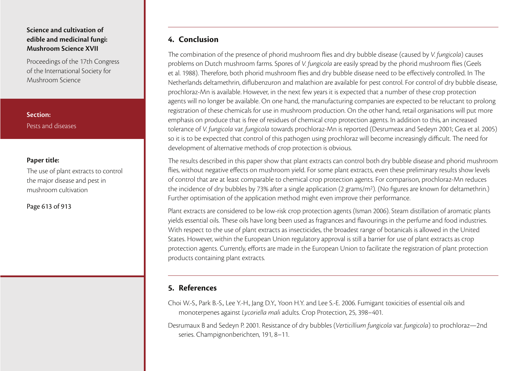Proceedings of the 17th Congress of the International Society for Mushroom Science

**Section:**Pests and diseases

## **Paper title:**

The use of plant extracts to control the major disease and pest in mushroom cultivation

Page 613 of 913

# **4. Conclusion**

The combination of the presence of phorid mushroom flies and dry bubble disease (caused by V. fungicola) causes problems on Dutch mushroom farms. Spores of V. fungicola are easily spread by the phorid mushroom flies (Geels et al. 1988). Therefore, both phorid mushroom flies and dry bubble disease need to be effectively controlled. In The Netherlands deltamethrin, diflubenzuron and malathion are available for pest control. For control of dry bubble disease, prochloraz-Mn is available. However, in the next few years it is expected that a number of these crop protection agents will no longer be available. On one hand, the manufacturing companies are expected to be reluctant to prolong registration of these chemicals for use in mushroom production. On the other hand, retail organisations will put more emphasis on produce that is free of residues of chemical crop protection agents. In addition to this, an increased tolerance of V. fungicola var. fungicola towards prochloraz-Mn is reported (Desrumeax and Sedeyn 2001; Gea et al. 2005) so it is to be expected that control of this pathogen using prochloraz will become increasingly difficult. The need for development of alternative methods of crop protection is obvious.

The results described in this paper show that plant extracts can control both dry bubble disease and phorid mushroom flies, without negative effects on mushroom yield. For some plant extracts, even these preliminary results show levels of control that are at least comparable to chemical crop protection agents. For comparison, prochloraz-Mn reduces the incidence of dry bubbles by 73% after a single application (2 grams/m2). (No figures are known for deltamethrin.) Further optimisation of the application method might even improve their performance.

Plant extracts are considered to be low-risk crop protection agents (Isman 2006). Steam distillation of aromatic plants yields essential oils. These oils have long been used as fragrances and flavourings in the perfume and food industries. With respect to the use of plant extracts as insecticides, the broadest range of botanicals is allowed in the United States. However, within the European Union regulatory approval is still a barrier for use of plant extracts as crop protection agents. Currently, efforts are made in the European Union to facilitate the registration of plant protection products containing plant extracts.

# **5. References**

Choi W.-S., Park B.-S., Lee Y.-H., Jang D.Y., Yoon H.Y. and Lee S.-E. 2006. Fumigant toxicities of essential oils and monoterpenes against Lycoriella mali adults. Crop Protection, 25, 398–401.

Desrumaux B and Sedeyn P. 2001. Resistance of dry bubbles (Verticillium fungicola var. fungicola) to prochloraz—2nd series. Champignonberichten, 191, 8–11.